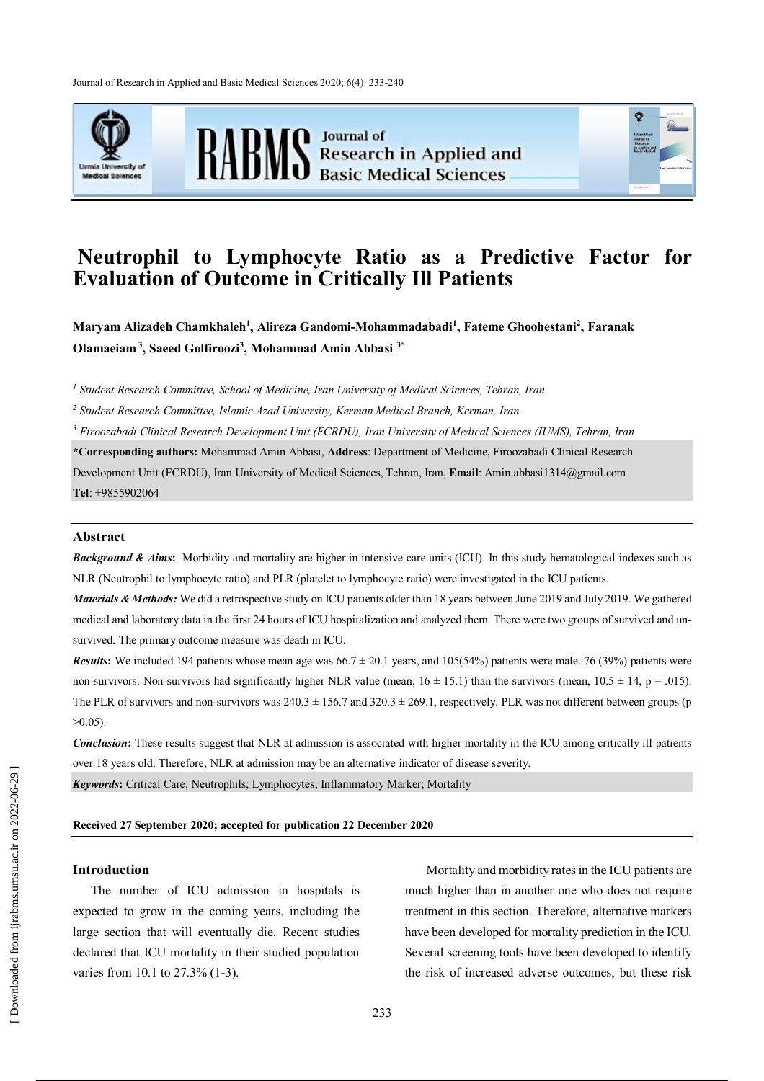Journal of Research in Applied and Basic Medical Sciences 2020; 6(4): 233-240





RABMS Besearch in Applied and



# **Neutrophil to Lymphocyte Ratio as a Predictive Factor for Evaluation of Outcome in Critically Ill Patients**

**Maryam Alizadeh Chamkhaleh<sup>1</sup> , Alireza Gandomi-Mohammadabadi<sup>1</sup> , Fateme Ghoohestani<sup>2</sup> , Faranak Olamaeiam <sup>3</sup> , Saeed Golfiroozi<sup>3</sup> , Mohammad Amin Abbasi 3\***

*1 Student Research Committee, School of Medicine, Iran University of Medical Sciences, Tehran, Iran.*

*2 Student Research Committee, Islamic Azad University, Kerman Medical Branch, Kerman, Iran.*

*<sup>3</sup> Firoozabadi Clinical Research Development Unit (FCRDU), Iran University of Medical Sciences (IUMS), Tehran, Iran*

**\*Corresponding authors:** Mohammad Amin Abbasi, **Address**: Department of Medicine, Firoozabadi Clinical Research Development Unit (FCRDU), Iran University of Medical Sciences, Tehran, Iran, **Email**: Amin.abbasi1314@gmail.com **Tel**: +9855902064

#### **Abstract**

**Background & Aims:** Morbidity and mortality are higher in intensive care units (ICU). In this study hematological indexes such as NLR (Neutrophil to lymphocyte ratio) and PLR (platelet to lymphocyte ratio) were investigated in the ICU patients.

*Materials & Methods:* We did a retrospective study on ICU patients older than 18 years between June 2019 and July 2019. We gathered medical and laboratory data in the first 24 hours of ICU hospitalization and analyzed them. There were two groups of survived and unsurvived. The primary outcome measure was death in ICU.

*Results*: We included 194 patients whose mean age was  $66.7 \pm 20.1$  years, and  $105(54%)$  patients were male. 76 (39%) patients were non-survivors. Non-survivors had significantly higher NLR value (mean,  $16 \pm 15.1$ ) than the survivors (mean,  $10.5 \pm 14$ , p = .015). The PLR of survivors and non-survivors was  $240.3 \pm 156.7$  and  $320.3 \pm 269.1$ , respectively. PLR was not different between groups (p  $>0.05$ ).

*Conclusion*: These results suggest that NLR at admission is associated with higher mortality in the ICU among critically ill patients over 18 years old. Therefore, NLR at admission may be an alternative indicator of disease severity.

*Keywords***:** Critical Care; Neutrophils; Lymphocytes; Inflammatory Marker; Mortality

#### **Received 27 September 2020; accepted for publication 22 December 2020**

## **Introduction**

The number of ICU admission in hospitals is expected to grow in the coming years, including the large section that will eventually die. Recent studies declared that ICU mortality in their studied population varies from 10.1 to 27.3% (1-3).

Mortality and morbidity rates in the ICU patients are much higher than in another one who does not require treatment in this section. Therefore, alternative markers have been developed for mortality prediction in the ICU. Several screening tools have been developed to identify the risk of increased adverse outcomes, but these risk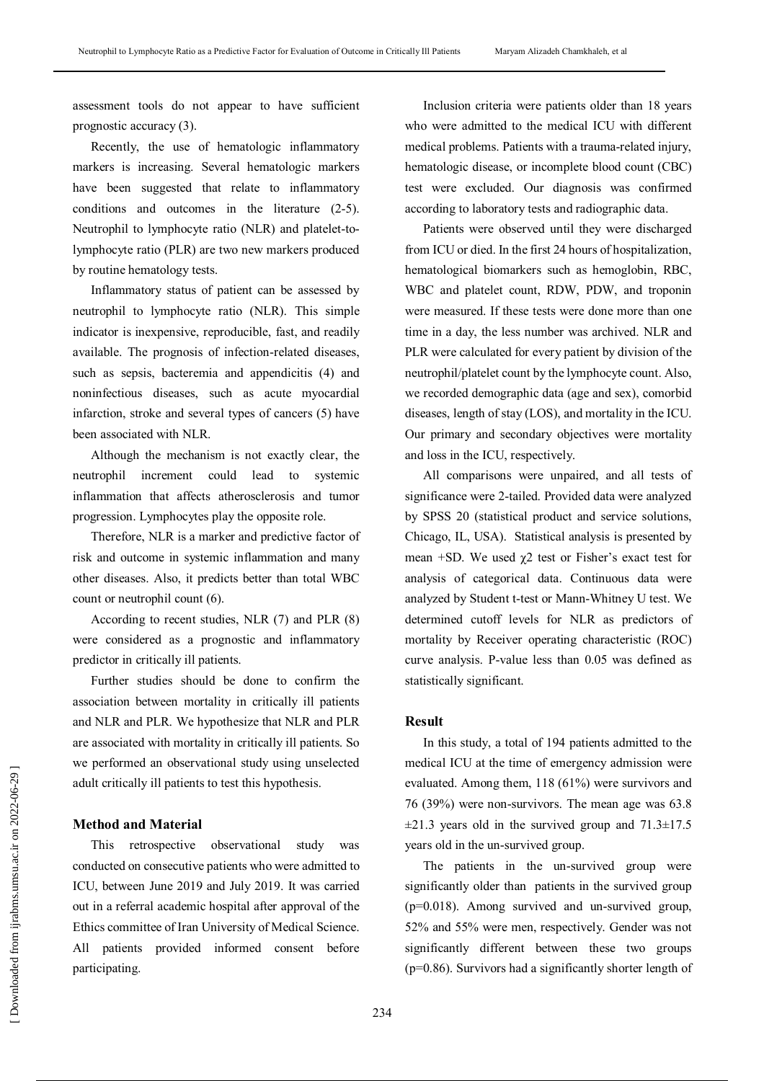assessment tools do not appear to have sufficient prognostic accuracy (3).

Recently, the use of hematologic inflammatory markers is increasing. Several hematologic markers have been suggested that relate to inflammatory conditions and outcomes in the literature (2-5). Neutrophil to lymphocyte ratio (NLR) and platelet-tolymphocyte ratio (PLR) are two new markers produced by routine hematology tests.

Inflammatory status of patient can be assessed by neutrophil to lymphocyte ratio (NLR). This simple indicator is inexpensive, reproducible, fast, and readily available. The prognosis of infection-related diseases, such as sepsis, bacteremia and appendicitis (4) and noninfectious diseases, such as acute myocardial infarction, stroke and several types of cancers (5) have been associated with NLR.

Although the mechanism is not exactly clear, the neutrophil increment could lead to systemic inflammation that affects atherosclerosis and tumor progression. Lymphocytes play the opposite role.

Therefore, NLR is a marker and predictive factor of risk and outcome in systemic inflammation and many other diseases. Also, it predicts better than total WBC count or neutrophil count (6).

According to recent studies, NLR (7) and PLR (8) were considered as a prognostic and inflammatory predictor in critically ill patients.

Further studies should be done to confirm the association between mortality in critically ill patients and NLR and PLR. We hypothesize that NLR and PLR are associated with mortality in critically ill patients. So we performed an observational study using unselected adult critically ill patients to test this hypothesis.

#### **Method and Material**

This retrospective observational study was conducted on consecutive patients who were admitted to ICU, between June 2019 and July 2019. It was carried out in a referral academic hospital after approval of the Ethics committee of Iran University of Medical Science. All patients provided informed consent before participating.

Inclusion criteria were patients older than 18 years who were admitted to the medical ICU with different medical problems. Patients with a trauma-related injury, hematologic disease, or incomplete blood count (CBC) test were excluded. Our diagnosis was confirmed according to laboratory tests and radiographic data.

Patients were observed until they were discharged from ICU or died. In the first 24 hours of hospitalization, hematological biomarkers such as hemoglobin, RBC, WBC and platelet count, RDW, PDW, and troponin were measured. If these tests were done more than one time in a day, the less number was archived. NLR and PLR were calculated for every patient by division of the neutrophil/platelet count by the lymphocyte count. Also, we recorded demographic data (age and sex), comorbid diseases, length of stay (LOS), and mortality in the ICU. Our primary and secondary objectives were mortality and loss in the ICU, respectively.

All comparisons were unpaired, and all tests of significance were 2-tailed. Provided data were analyzed by SPSS 20 (statistical product and service solutions, Chicago, IL, USA). Statistical analysis is presented by mean +SD. We used  $\gamma$ 2 test or Fisher's exact test for analysis of categorical data. Continuous data were analyzed by Student t-test or Mann-Whitney U test. We determined cutoff levels for NLR as predictors of mortality by Receiver operating characteristic (ROC) curve analysis. P-value less than 0.05 was defined as statistically significant.

# **Result**

In this study, a total of 194 patients admitted to the medical ICU at the time of emergency admission were evaluated. Among them, 118 (61%) were survivors and 76 (39%) were non-survivors. The mean age was 63.8  $\pm$ 21.3 years old in the survived group and 71.3 $\pm$ 17.5 years old in the un-survived group.

The patients in the un-survived group were significantly older than patients in the survived group (p=0.018). Among survived and un-survived group, 52% and 55% were men, respectively. Gender was not significantly different between these two groups (p=0.86). Survivors had a significantly shorter length of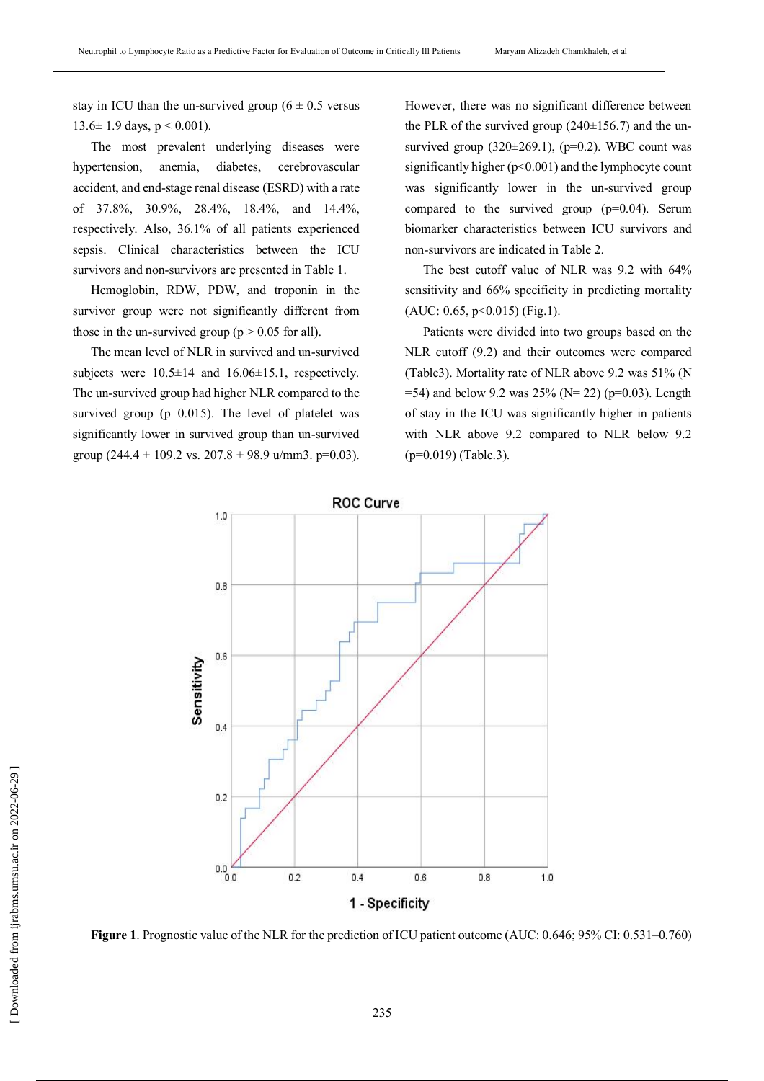stay in ICU than the un-survived group ( $6 \pm 0.5$  versus  $13.6 \pm 1.9$  days,  $p \le 0.001$ ).

The most prevalent underlying diseases were hypertension, anemia, diabetes, cerebrovascular accident, and end-stage renal disease (ESRD) with a rate of 37.8%, 30.9%, 28.4%, 18.4%, and 14.4%, respectively. Also, 36.1% of all patients experienced sepsis. Clinical characteristics between the ICU survivors and non-survivors are presented in Table 1.

Hemoglobin, RDW, PDW, and troponin in the survivor group were not significantly different from those in the un-survived group ( $p > 0.05$  for all).

The mean level of NLR in survived and un-survived subjects were  $10.5\pm 14$  and  $16.06\pm 15.1$ , respectively. The un-survived group had higher NLR compared to the survived group ( $p=0.015$ ). The level of platelet was significantly lower in survived group than un-survived group (244.4  $\pm$  109.2 vs. 207.8  $\pm$  98.9 u/mm3. p=0.03).

However, there was no significant difference between the PLR of the survived group  $(240\pm 156.7)$  and the unsurvived group  $(320\pm 269.1)$ ,  $(p=0.2)$ . WBC count was significantly higher  $(p<0.001)$  and the lymphocyte count was significantly lower in the un-survived group compared to the survived group  $(p=0.04)$ . Serum biomarker characteristics between ICU survivors and non-survivors are indicated in Table 2.

The best cutoff value of NLR was 9.2 with 64% sensitivity and 66% specificity in predicting mortality (AUC: 0.65, p<0.015) (Fig.1).

Patients were divided into two groups based on the NLR cutoff (9.2) and their outcomes were compared (Table3). Mortality rate of NLR above 9.2 was 51% (N  $=$  54) and below 9.2 was 25% (N= 22) (p=0.03). Length of stay in the ICU was significantly higher in patients with NLR above 9.2 compared to NLR below 9.2 (p=0.019) (Table.3).



**Figure 1**. Prognostic value of the NLR for the prediction of ICU patient outcome (AUC: 0.646; 95% CI: 0.531–0.760)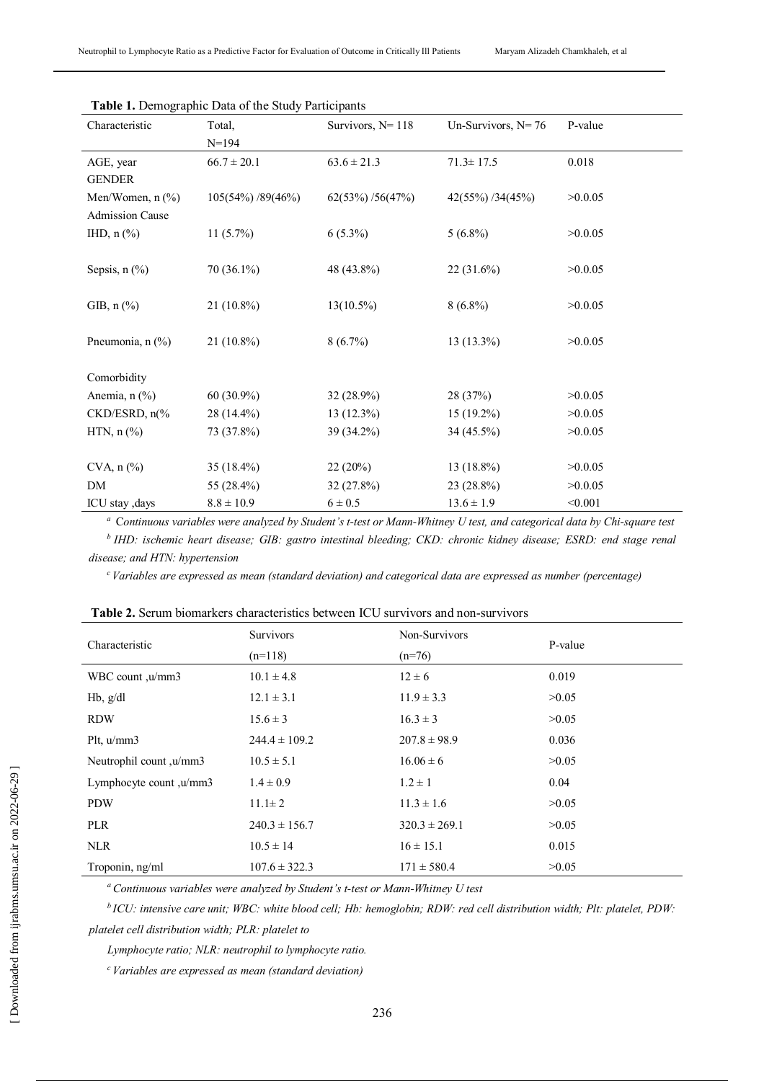| Characteristic              | Total,            | Survivors, $N = 118$ | Un-Survivors, $N=76$ | P-value |
|-----------------------------|-------------------|----------------------|----------------------|---------|
|                             | $N=194$           |                      |                      |         |
| AGE, year                   | $66.7 \pm 20.1$   | $63.6 \pm 21.3$      | $71.3 \pm 17.5$      | 0.018   |
| <b>GENDER</b>               |                   |                      |                      |         |
| Men/Women, n (%)            | 105(54%) /89(46%) | 62(53%) / 56(47%)    | $42(55\%)$ /34(45%)  | >0.0.05 |
| <b>Admission Cause</b>      |                   |                      |                      |         |
| IHD, $n$ $%$                | $11(5.7\%)$       | $6(5.3\%)$           | $5(6.8\%)$           | >0.0.05 |
|                             |                   |                      |                      |         |
| Sepsis, $n$ $(\%)$          | 70 (36.1%)        | 48 (43.8%)           | 22 (31.6%)           | >0.0.05 |
|                             |                   |                      |                      |         |
| GIB, $n$ $%$                | 21 (10.8%)        | $13(10.5\%)$         | $8(6.8\%)$           | >0.0.05 |
|                             |                   |                      |                      |         |
| Pneumonia, n (%)            | $21(10.8\%)$      | $8(6.7\%)$           | $13(13.3\%)$         | >0.0.05 |
|                             |                   |                      |                      |         |
| Comorbidity                 |                   |                      |                      |         |
| Anemia, n (%)               | 60 (30.9%)        | 32 (28.9%)           | 28 (37%)             | >0.0.05 |
| $CKD/ESRD$ , $n\frac{6}{6}$ | 28 (14.4%)        | $13(12.3\%)$         | $15(19.2\%)$         | >0.0.05 |
| HTN, $n$ $%$                | 73 (37.8%)        | 39 (34.2%)           | 34 (45.5%)           | >0.0.05 |
|                             |                   |                      |                      |         |
| $CVA$ , $n$ $%$             | $35(18.4\%)$      | 22(20%)              | $13(18.8\%)$         | >0.0.05 |
| DM                          | 55 (28.4%)        | 32 (27.8%)           | 23 (28.8%)           | >0.0.05 |
| ICU stay, days              | $8.8 \pm 10.9$    | $6 \pm 0.5$          | $13.6 \pm 1.9$       | < 0.001 |

*<sup>a</sup>*C*ontinuous variables were analyzed by Student's t-test or Mann-Whitney U test, and categorical data by Chi-square test <sup>b</sup>IHD: ischemic heart disease; GIB: gastro intestinal bleeding; CKD: chronic kidney disease; ESRD: end stage renal* 

*disease; and HTN: hypertension*

*<sup>c</sup>Variables are expressed as mean (standard deviation) and categorical data are expressed as number (percentage)*

| Characteristic          | <b>Survivors</b><br>Non-Survivors |                   | P-value |  |
|-------------------------|-----------------------------------|-------------------|---------|--|
|                         | $(n=118)$                         | $(n=76)$          |         |  |
| WBC count, u/mm3        | $10.1 \pm 4.8$                    | $12 \pm 6$        | 0.019   |  |
| $Hb$ , $g/dl$           | $12.1 \pm 3.1$                    | $11.9 \pm 3.3$    | >0.05   |  |
| <b>RDW</b>              | $15.6 \pm 3$                      | $16.3 \pm 3$      | >0.05   |  |
| Plt, $u/mm3$            | $244.4 \pm 109.2$                 | $207.8 \pm 98.9$  | 0.036   |  |
| Neutrophil count, w/mm3 | $10.5 \pm 5.1$                    | $16.06 \pm 6$     | >0.05   |  |
| Lymphocyte count, u/mm3 | $1.4 \pm 0.9$                     | $1.2 \pm 1$       | 0.04    |  |
| <b>PDW</b>              | $11.1 \pm 2$                      | $11.3 \pm 1.6$    | >0.05   |  |
| <b>PLR</b>              | $240.3 \pm 156.7$                 | $320.3 \pm 269.1$ | >0.05   |  |
| <b>NLR</b>              | $10.5 \pm 14$                     | $16 \pm 15.1$     | 0.015   |  |
| Troponin, ng/ml         | $107.6 \pm 322.3$                 | $171 \pm 580.4$   | >0.05   |  |

**Table 2.** Serum biomarkers characteristics between ICU survivors and non-survivors

*<sup>a</sup>Continuous variables were analyzed by Student's t-test or Mann-Whitney U test*

*<sup>b</sup>ICU: intensive care unit; WBC: white blood cell; Hb: hemoglobin; RDW: red cell distribution width; Plt: platelet, PDW: platelet cell distribution width; PLR: platelet to*

*Lymphocyte ratio; NLR: neutrophil to lymphocyte ratio.*

*<sup>c</sup>Variables are expressed as mean (standard deviation)*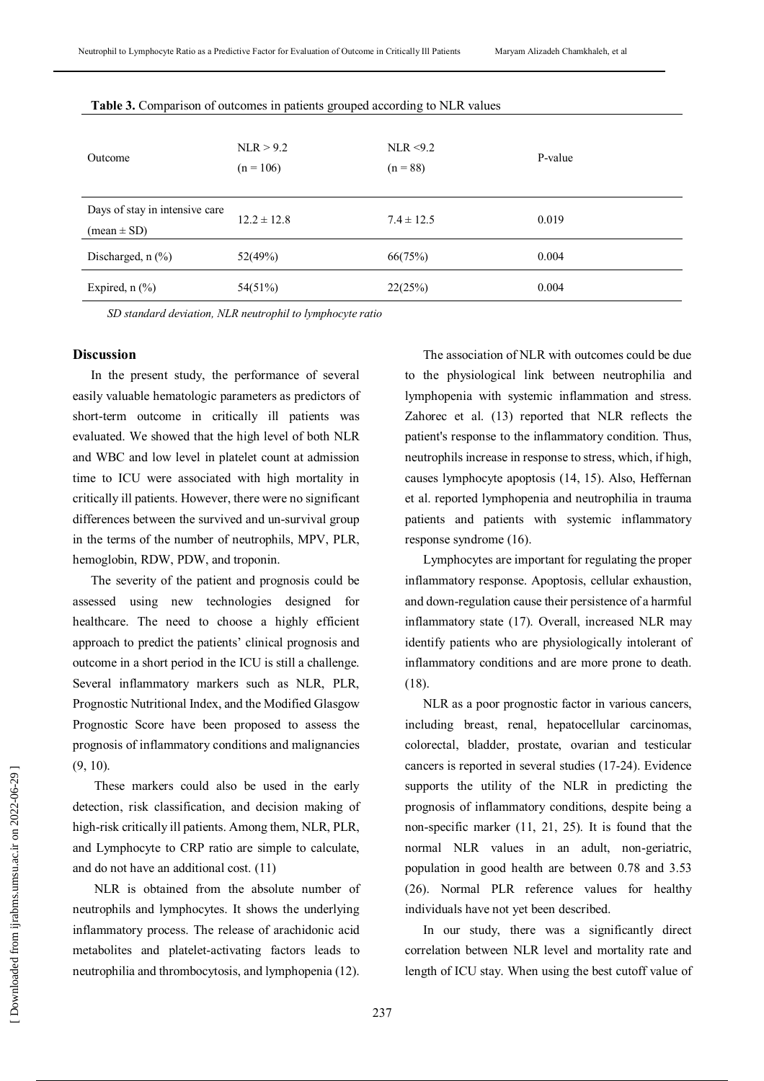| Outcome                                                         | NLR > 9.2<br>$(n = 106)$ | NLR $<9.2$<br>$(n = 88)$ | P-value |
|-----------------------------------------------------------------|--------------------------|--------------------------|---------|
| Days of stay in intensive care<br>$(\text{mean} \pm \text{SD})$ | $12.2 \pm 12.8$          | $7.4 \pm 12.5$           | 0.019   |
| Discharged, $n$ $(\%)$                                          | 52(49%)                  | 66(75%)                  | 0.004   |
| Expired, $n$ (%)                                                | 54(51%)                  | 22(25%)                  | 0.004   |

**Table 3.** Comparison of outcomes in patients grouped according to NLR values

*SD standard deviation, NLR neutrophil to lymphocyte ratio*

#### **Discussion**

In the present study, the performance of several easily valuable hematologic parameters as predictors of short-term outcome in critically ill patients was evaluated. We showed that the high level of both NLR and WBC and low level in platelet count at admission time to ICU were associated with high mortality in critically ill patients. However, there were no significant differences between the survived and un-survival group in the terms of the number of neutrophils, MPV, PLR, hemoglobin, RDW, PDW, and troponin.

The severity of the patient and prognosis could be assessed using new technologies designed for healthcare. The need to choose a highly efficient approach to predict the patients' clinical prognosis and outcome in a short period in the ICU is still a challenge. Several inflammatory markers such as NLR, PLR, Prognostic Nutritional Index, and the Modified Glasgow Prognostic Score have been proposed to assess the prognosis of inflammatory conditions and malignancies (9, 10).

These markers could also be used in the early detection, risk classification, and decision making of high-risk critically ill patients. Among them, NLR, PLR, and Lymphocyte to CRP ratio are simple to calculate, and do not have an additional cost. (11)

NLR is obtained from the absolute number of neutrophils and lymphocytes. It shows the underlying inflammatory process. The release of arachidonic acid metabolites and platelet-activating factors leads to neutrophilia and thrombocytosis, and lymphopenia (12).

The association of NLR with outcomes could be due to the physiological link between neutrophilia and lymphopenia with systemic inflammation and stress. Zahorec et al. (13) reported that NLR reflects the patient's response to the inflammatory condition. Thus, neutrophils increase in response to stress, which, if high, causes lymphocyte apoptosis (14, 15). Also, Heffernan et al. reported lymphopenia and neutrophilia in trauma patients and patients with systemic inflammatory response syndrome (16).

Lymphocytes are important for regulating the proper inflammatory response. Apoptosis, cellular exhaustion, and down-regulation cause their persistence of a harmful inflammatory state (17). Overall, increased NLR may identify patients who are physiologically intolerant of inflammatory conditions and are more prone to death. (18).

NLR as a poor prognostic factor in various cancers, including breast, renal, hepatocellular carcinomas, colorectal, bladder, prostate, ovarian and testicular cancers is reported in several studies (17-24). Evidence supports the utility of the NLR in predicting the prognosis of inflammatory conditions, despite being a non-specific marker (11, 21, 25). It is found that the normal NLR values in an adult, non-geriatric, population in good health are between 0.78 and 3.53 (26). Normal PLR reference values for healthy individuals have not yet been described.

In our study, there was a significantly direct correlation between NLR level and mortality rate and length of ICU stay. When using the best cutoff value of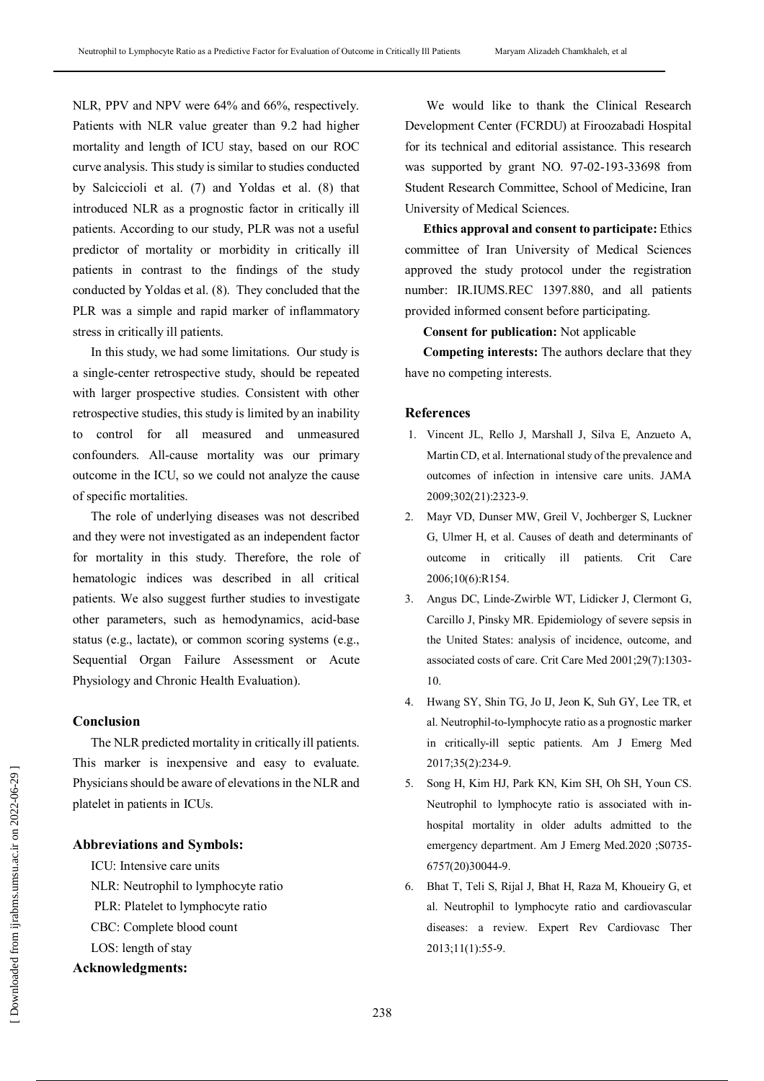NLR, PPV and NPV were 64% and 66%, respectively. Patients with NLR value greater than 9.2 had higher mortality and length of ICU stay, based on our ROC curve analysis. This study is similar to studies conducted by Salciccioli et al. (7) and Yoldas et al. (8) that introduced NLR as a prognostic factor in critically ill patients. According to our study, PLR was not a useful predictor of mortality or morbidity in critically ill patients in contrast to the findings of the study conducted by Yoldas et al. (8). They concluded that the PLR was a simple and rapid marker of inflammatory stress in critically ill patients.

In this study, we had some limitations. Our study is a single-center retrospective study, should be repeated with larger prospective studies. Consistent with other retrospective studies, this study is limited by an inability to control for all measured and unmeasured confounders. All-cause mortality was our primary outcome in the ICU, so we could not analyze the cause of specific mortalities.

The role of underlying diseases was not described and they were not investigated as an independent factor for mortality in this study. Therefore, the role of hematologic indices was described in all critical patients. We also suggest further studies to investigate other parameters, such as hemodynamics, acid-base status (e.g., lactate), or common scoring systems (e.g., Sequential Organ Failure Assessment or Acute Physiology and Chronic Health Evaluation).

# **Conclusion**

The NLR predicted mortality in critically ill patients. This marker is inexpensive and easy to evaluate. Physicians should be aware of elevations in the NLR and platelet in patients in ICUs.

## **Abbreviations and Symbols:**

ICU: Intensive care units NLR: Neutrophil to lymphocyte ratio PLR: Platelet to lymphocyte ratio CBC: Complete blood count LOS: length of stay

# **Acknowledgments:**

We would like to thank the Clinical Research Development Center (FCRDU) at Firoozabadi Hospital for its technical and editorial assistance. This research was supported by grant NO. 97-02-193-33698 from Student Research Committee, School of Medicine, Iran University of Medical Sciences.

**Ethics approval and consent to participate:** Ethics committee of Iran University of Medical Sciences approved the study protocol under the registration number: IR.IUMS.REC 1397.880, and all patients provided informed consent before participating.

**Consent for publication:** Not applicable

**Competing interests:** The authors declare that they have no competing interests.

# **References**

- 1. Vincent JL, Rello J, Marshall J, Silva E, Anzueto A, Martin CD, et al. International study of the prevalence and outcomes of infection in intensive care units. JAMA 2009;302(21):2323-9.
- 2. Mayr VD, Dunser MW, Greil V, Jochberger S, Luckner G, Ulmer H, et al. Causes of death and determinants of outcome in critically ill patients. Crit Care 2006;10(6):R154.
- 3. Angus DC, Linde-Zwirble WT, Lidicker J, Clermont G, Carcillo J, Pinsky MR. Epidemiology of severe sepsis in the United States: analysis of incidence, outcome, and associated costs of care. Crit Care Med 2001;29(7):1303- 10.
- 4. Hwang SY, Shin TG, Jo IJ, Jeon K, Suh GY, Lee TR, et al. Neutrophil-to-lymphocyte ratio as a prognostic marker in critically-ill septic patients. Am J Emerg Med 2017;35(2):234-9.
- 5. Song H, Kim HJ, Park KN, Kim SH, Oh SH, Youn CS. Neutrophil to lymphocyte ratio is associated with inhospital mortality in older adults admitted to the emergency department. Am J Emerg Med.2020 ;S0735- 6757(20)30044-9.
- 6. Bhat T, Teli S, Rijal J, Bhat H, Raza M, Khoueiry G, et al. Neutrophil to lymphocyte ratio and cardiovascular diseases: a review. Expert Rev Cardiovasc Ther 2013;11(1):55-9.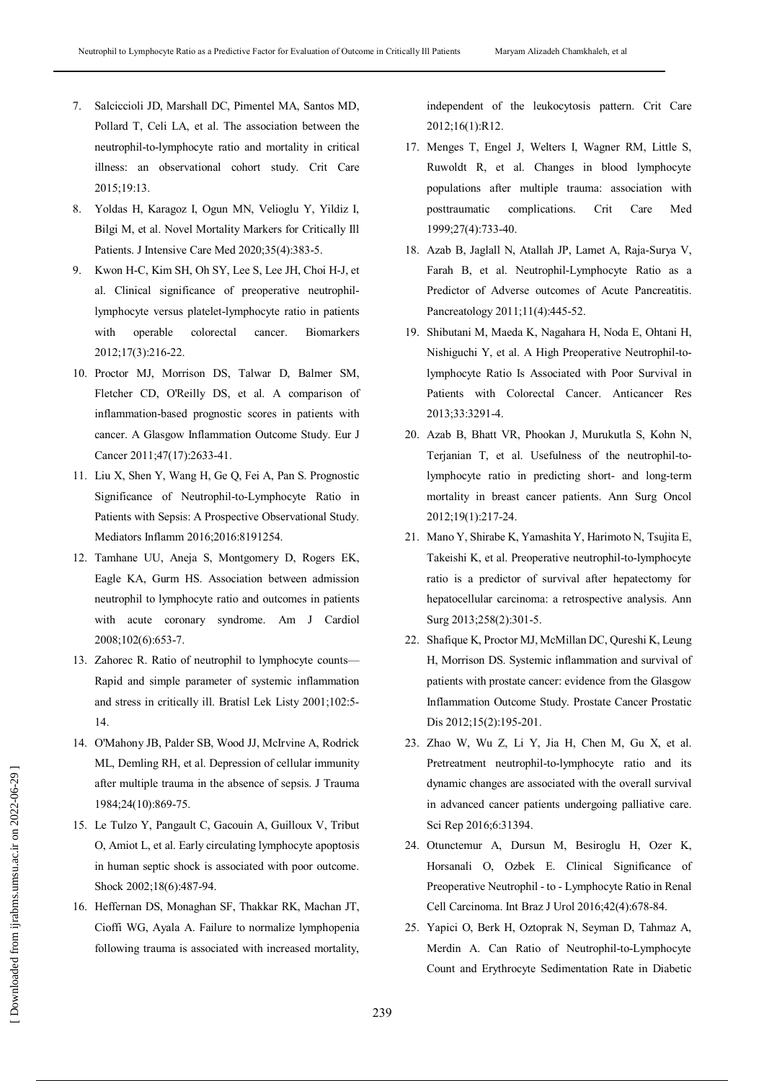- 7. Salciccioli JD, Marshall DC, Pimentel MA, Santos MD, Pollard T, Celi LA, et al. The association between the neutrophil-to-lymphocyte ratio and mortality in critical illness: an observational cohort study. Crit Care 2015;19:13.
- 8. Yoldas H, Karagoz I, Ogun MN, Velioglu Y, Yildiz I, Bilgi M, et al. Novel Mortality Markers for Critically Ill Patients. J Intensive Care Med 2020;35(4):383-5.
- 9. Kwon H-C, Kim SH, Oh SY, Lee S, Lee JH, Choi H-J, et al. Clinical significance of preoperative neutrophillymphocyte versus platelet-lymphocyte ratio in patients with operable colorectal cancer. Biomarkers 2012;17(3):216-22.
- 10. Proctor MJ, Morrison DS, Talwar D, Balmer SM, Fletcher CD, O'Reilly DS, et al. A comparison of inflammation-based prognostic scores in patients with cancer. A Glasgow Inflammation Outcome Study. Eur J Cancer 2011;47(17):2633-41.
- 11. Liu X, Shen Y, Wang H, Ge Q, Fei A, Pan S. Prognostic Significance of Neutrophil-to-Lymphocyte Ratio in Patients with Sepsis: A Prospective Observational Study. Mediators Inflamm 2016;2016:8191254.
- 12. Tamhane UU, Aneja S, Montgomery D, Rogers EK, Eagle KA, Gurm HS. Association between admission neutrophil to lymphocyte ratio and outcomes in patients with acute coronary syndrome. Am J Cardiol 2008;102(6):653-7.
- 13. Zahorec R. Ratio of neutrophil to lymphocyte counts— Rapid and simple parameter of systemic inflammation and stress in critically ill. Bratisl Lek Listy 2001;102:5- 14.
- 14. O'Mahony JB, Palder SB, Wood JJ, McIrvine A, Rodrick ML, Demling RH, et al. Depression of cellular immunity after multiple trauma in the absence of sepsis. J Trauma 1984;24(10):869-75.
- 15. Le Tulzo Y, Pangault C, Gacouin A, Guilloux V, Tribut O, Amiot L, et al. Early circulating lymphocyte apoptosis in human septic shock is associated with poor outcome. Shock 2002;18(6):487-94.
- 16. Heffernan DS, Monaghan SF, Thakkar RK, Machan JT, Cioffi WG, Ayala A. Failure to normalize lymphopenia following trauma is associated with increased mortality,

independent of the leukocytosis pattern. Crit Care 2012;16(1):R12.

- 17. Menges T, Engel J, Welters I, Wagner RM, Little S, Ruwoldt R, et al. Changes in blood lymphocyte populations after multiple trauma: association with posttraumatic complications. Crit Care Med 1999;27(4):733-40.
- 18. Azab B, Jaglall N, Atallah JP, Lamet A, Raja-Surya V, Farah B, et al. Neutrophil-Lymphocyte Ratio as a Predictor of Adverse outcomes of Acute Pancreatitis. Pancreatology 2011;11(4):445-52.
- 19. Shibutani M, Maeda K, Nagahara H, Noda E, Ohtani H, Nishiguchi Y, et al. A High Preoperative Neutrophil-tolymphocyte Ratio Is Associated with Poor Survival in Patients with Colorectal Cancer. Anticancer Res 2013;33:3291-4.
- 20. Azab B, Bhatt VR, Phookan J, Murukutla S, Kohn N, Terjanian T, et al. Usefulness of the neutrophil-tolymphocyte ratio in predicting short- and long-term mortality in breast cancer patients. Ann Surg Oncol 2012;19(1):217-24.
- 21. Mano Y, Shirabe K, Yamashita Y, Harimoto N, Tsujita E, Takeishi K, et al. Preoperative neutrophil-to-lymphocyte ratio is a predictor of survival after hepatectomy for hepatocellular carcinoma: a retrospective analysis. Ann Surg 2013;258(2):301-5.
- 22. Shafique K, Proctor MJ, McMillan DC, Qureshi K, Leung H, Morrison DS. Systemic inflammation and survival of patients with prostate cancer: evidence from the Glasgow Inflammation Outcome Study. Prostate Cancer Prostatic Dis 2012;15(2):195-201.
- 23. Zhao W, Wu Z, Li Y, Jia H, Chen M, Gu X, et al. Pretreatment neutrophil-to-lymphocyte ratio and its dynamic changes are associated with the overall survival in advanced cancer patients undergoing palliative care. Sci Rep 2016;6:31394.
- 24. Otunctemur A, Dursun M, Besiroglu H, Ozer K, Horsanali O, Ozbek E. Clinical Significance of Preoperative Neutrophil - to - Lymphocyte Ratio in Renal Cell Carcinoma. Int Braz J Urol 2016;42(4):678-84.
- 25. Yapici O, Berk H, Oztoprak N, Seyman D, Tahmaz A, Merdin A. Can Ratio of Neutrophil-to-Lymphocyte Count and Erythrocyte Sedimentation Rate in Diabetic